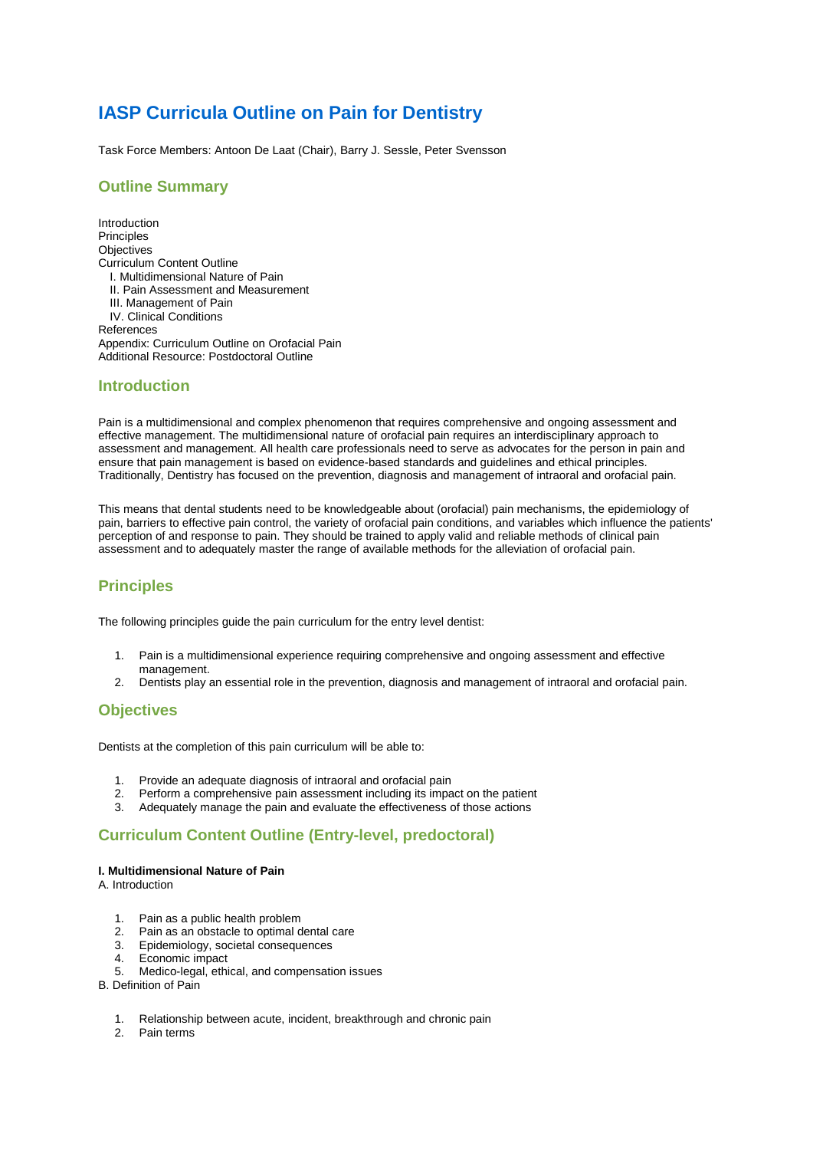# **IASP Curricula Outline on Pain for Dentistry**

Task Force Members: Antoon De Laat (Chair), Barry J. Sessle, Peter Svensson

### **Outline Summary**

Introduction Principles **Objectives** Curriculum Content Outline I. Multidimensional Nature of Pain II. Pain Assessment and Measurement III. Management of Pain IV. Clinical Conditions References Appendix: Curriculum Outline on Orofacial Pain Additional Resource: Postdoctoral Outline

### **Introduction**

Pain is a multidimensional and complex phenomenon that requires comprehensive and ongoing assessment and effective management. The multidimensional nature of orofacial pain requires an interdisciplinary approach to assessment and management. All health care professionals need to serve as advocates for the person in pain and ensure that pain management is based on evidence-based standards and guidelines and ethical principles. Traditionally, Dentistry has focused on the prevention, diagnosis and management of intraoral and orofacial pain.

This means that dental students need to be knowledgeable about (orofacial) pain mechanisms, the epidemiology of pain, barriers to effective pain control, the variety of orofacial pain conditions, and variables which influence the patients' perception of and response to pain. They should be trained to apply valid and reliable methods of clinical pain assessment and to adequately master the range of available methods for the alleviation of orofacial pain.

# **Principles**

The following principles guide the pain curriculum for the entry level dentist:

- 1. Pain is a multidimensional experience requiring comprehensive and ongoing assessment and effective management.
- 2. Dentists play an essential role in the prevention, diagnosis and management of intraoral and orofacial pain.

### **Objectives**

Dentists at the completion of this pain curriculum will be able to:

- 1. Provide an adequate diagnosis of intraoral and orofacial pain
- 2. Perform a comprehensive pain assessment including its impact on the patient
- 3. Adequately manage the pain and evaluate the effectiveness of those actions

# **Curriculum Content Outline (Entry-level, predoctoral)**

#### **I. Multidimensional Nature of Pain**

A. Introduction

- 1. Pain as a public health problem<br>2. Pain as an obstacle to optimal d
- Pain as an obstacle to optimal dental care
- 3. Epidemiology, societal consequences
- 4. Economic impact
- 5. Medico-legal, ethical, and compensation issues
- B. Definition of Pain
	- 1. Relationship between acute, incident, breakthrough and chronic pain
	- 2. Pain terms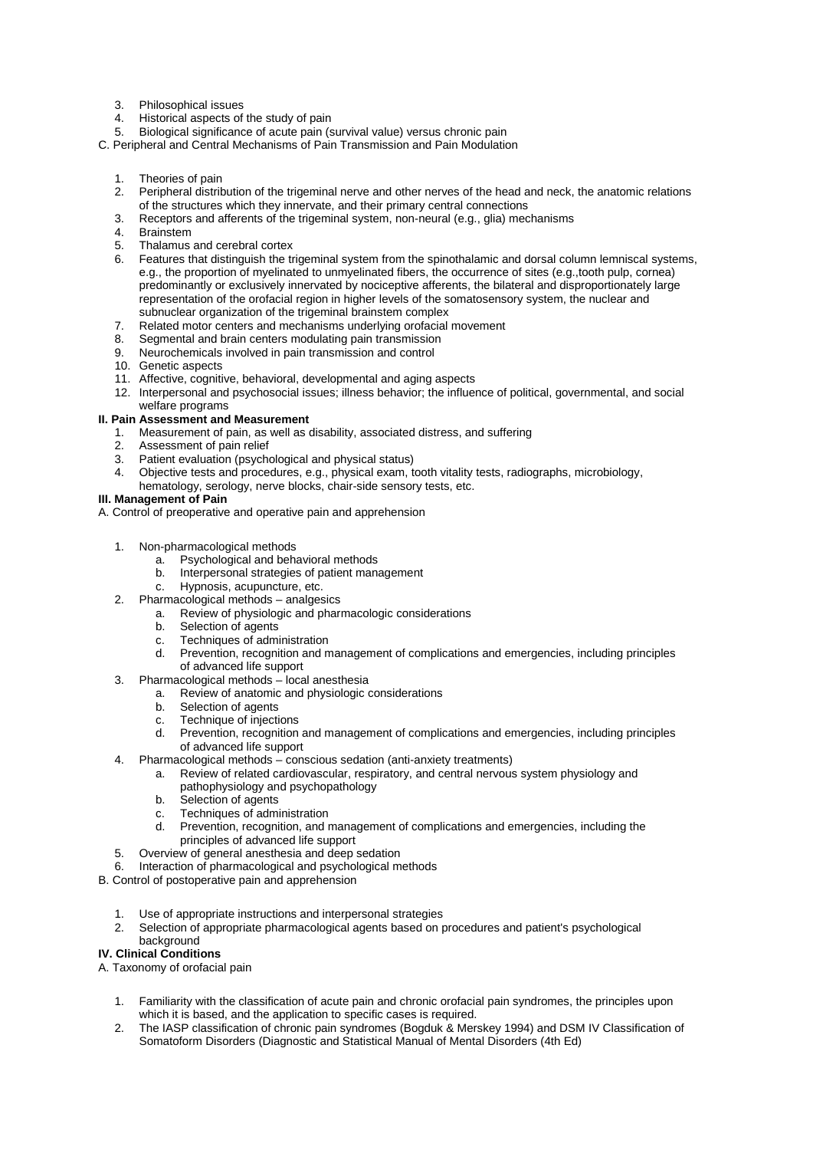- 3. Philosophical issues
- Historical aspects of the study of pain
- 5. Biological significance of acute pain (survival value) versus chronic pain
- C. Peripheral and Central Mechanisms of Pain Transmission and Pain Modulation
	- 1. Theories of pain<br>2. Peripheral districtive
	- 2. Peripheral distribution of the trigeminal nerve and other nerves of the head and neck, the anatomic relations of the structures which they innervate, and their primary central connections
	- 3. Receptors and afferents of the trigeminal system, non-neural (e.g., glia) mechanisms
	- 4. Brainstem<br>5. Thalamus
	- 5. Thalamus and cerebral cortex<br>6. Features that distinguish the tr
		- Features that distinguish the trigeminal system from the spinothalamic and dorsal column lemniscal systems, e.g., the proportion of myelinated to unmyelinated fibers, the occurrence of sites (e.g.,tooth pulp, cornea) predominantly or exclusively innervated by nociceptive afferents, the bilateral and disproportionately large representation of the orofacial region in higher levels of the somatosensory system, the nuclear and subnuclear organization of the trigeminal brainstem complex
	- 7. Related motor centers and mechanisms underlying orofacial movement
	- 8. Segmental and brain centers modulating pain transmission
	- 9. Neurochemicals involved in pain transmission and control
	- 10. Genetic aspects
	- 11. Affective, cognitive, behavioral, developmental and aging aspects
	- 12. Interpersonal and psychosocial issues; illness behavior; the influence of political, governmental, and social welfare programs

#### **II. Pain Assessment and Measurement**

- 1. Measurement of pain, as well as disability, associated distress, and suffering
- 2. Assessment of pain relief<br>3. Patient evaluation (psychology
- 3. Patient evaluation (psychological and physical status)<br>4. Objective tests and procedures, e.g., physical exam, t
- 4. Objective tests and procedures, e.g., physical exam, tooth vitality tests, radiographs, microbiology,
- hematology, serology, nerve blocks, chair-side sensory tests, etc.

### **III. Management of Pain**

A. Control of preoperative and operative pain and apprehension

- 1. Non-pharmacological methods
	- a. Psychological and behavioral methods
	- b. Interpersonal strategies of patient management
	- c. Hypnosis, acupuncture, etc.
- 2. Pharmacological methods analgesics
	- a. Review of physiologic and pharmacologic considerations
	- b. Selection of agents
	- c. Techniques of administration<br>d Prevention recognition and n
	- Prevention, recognition and management of complications and emergencies, including principles of advanced life support
- 3. Pharmacological methods local anesthesia
	- a. Review of anatomic and physiologic considerations
	- Selection of agents
	- c. Technique of injections
	- d. Prevention, recognition and management of complications and emergencies, including principles of advanced life support
- 4. Pharmacological methods conscious sedation (anti-anxiety treatments)
	- a. Review of related cardiovascular, respiratory, and central nervous system physiology and pathophysiology and psychopathology
	- b. Selection of agents<br>c. Techniques of adm
	- c. Techniques of administration<br>d Prevention recognition and r
	- Prevention, recognition, and management of complications and emergencies, including the principles of advanced life support
- 5. Overview of general anesthesia and deep sedation
- Interaction of pharmacological and psychological methods
- B. Control of postoperative pain and apprehension
	- 1. Use of appropriate instructions and interpersonal strategies
	- 2. Selection of appropriate pharmacological agents based on procedures and patient's psychological background

### **IV. Clinical Conditions**

- A. Taxonomy of orofacial pain
	- 1. Familiarity with the classification of acute pain and chronic orofacial pain syndromes, the principles upon which it is based, and the application to specific cases is required.
	- 2. The IASP classification of chronic pain syndromes (Bogduk & Merskey 1994) and DSM IV Classification of Somatoform Disorders (Diagnostic and Statistical Manual of Mental Disorders (4th Ed)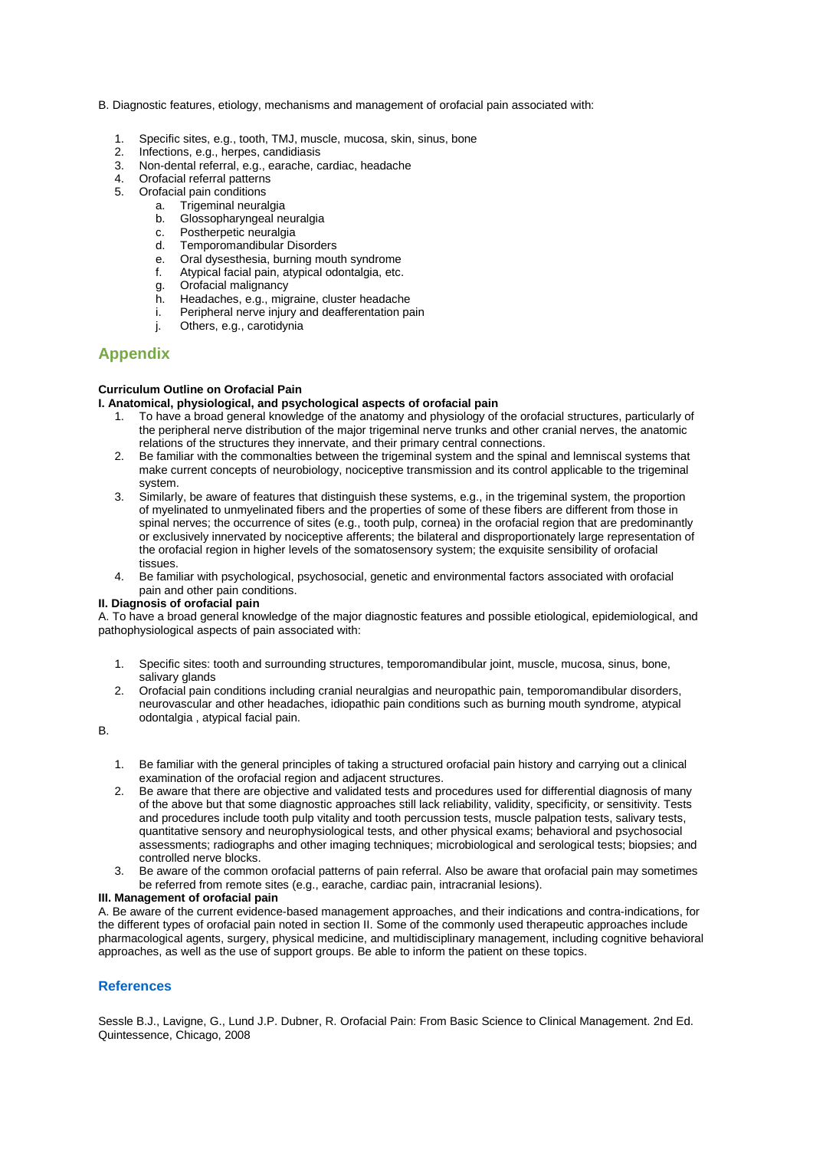- B. Diagnostic features, etiology, mechanisms and management of orofacial pain associated with:
	- 1. Specific sites, e.g., tooth, TMJ, muscle, mucosa, skin, sinus, bone
	- 2. Infections, e.g., herpes, candidiasis
	- Non-dental referral, e.g., earache, cardiac, headache
	- 4. Orofacial referral patterns<br>5. Orofacial pain conditions
	- 5. Orofacial pain conditions
		- a. Trigeminal neuralgia<br>b. Glossopharyngeal ne
		- Glossopharyngeal neuralgia
		- c. Postherpetic neuralgia<br>d. Temporomandibular Di
		- Temporomandibular Disorders
		- e. Oral dysesthesia, burning mouth syndrome
		- f. Atypical facial pain, atypical odontalgia, etc.
		- g. Orofacial malignancy
		- h. Headaches, e.g., migraine, cluster headache
		- i. Peripheral nerve injury and deafferentation pain
		- j. Others, e.g., carotidynia

## **Appendix**

#### **Curriculum Outline on Orofacial Pain**

#### **I. Anatomical, physiological, and psychological aspects of orofacial pain**

- 1. To have a broad general knowledge of the anatomy and physiology of the orofacial structures, particularly of the peripheral nerve distribution of the major trigeminal nerve trunks and other cranial nerves, the anatomic relations of the structures they innervate, and their primary central connections.
- 2. Be familiar with the commonalties between the trigeminal system and the spinal and lemniscal systems that make current concepts of neurobiology, nociceptive transmission and its control applicable to the trigeminal system.
- 3. Similarly, be aware of features that distinguish these systems, e.g., in the trigeminal system, the proportion of myelinated to unmyelinated fibers and the properties of some of these fibers are different from those in spinal nerves; the occurrence of sites (e.g., tooth pulp, cornea) in the orofacial region that are predominantly or exclusively innervated by nociceptive afferents; the bilateral and disproportionately large representation of the orofacial region in higher levels of the somatosensory system; the exquisite sensibility of orofacial tissues.
- 4. Be familiar with psychological, psychosocial, genetic and environmental factors associated with orofacial pain and other pain conditions.

#### **II. Diagnosis of orofacial pain**

A. To have a broad general knowledge of the major diagnostic features and possible etiological, epidemiological, and pathophysiological aspects of pain associated with:

- 1. Specific sites: tooth and surrounding structures, temporomandibular joint, muscle, mucosa, sinus, bone, salivary glands
- 2. Orofacial pain conditions including cranial neuralgias and neuropathic pain, temporomandibular disorders, neurovascular and other headaches, idiopathic pain conditions such as burning mouth syndrome, atypical odontalgia , atypical facial pain.

#### B.

- 1. Be familiar with the general principles of taking a structured orofacial pain history and carrying out a clinical examination of the orofacial region and adjacent structures.
- 2. Be aware that there are objective and validated tests and procedures used for differential diagnosis of many of the above but that some diagnostic approaches still lack reliability, validity, specificity, or sensitivity. Tests and procedures include tooth pulp vitality and tooth percussion tests, muscle palpation tests, salivary tests, quantitative sensory and neurophysiological tests, and other physical exams; behavioral and psychosocial assessments; radiographs and other imaging techniques; microbiological and serological tests; biopsies; and controlled nerve blocks.
- 3. Be aware of the common orofacial patterns of pain referral. Also be aware that orofacial pain may sometimes be referred from remote sites (e.g., earache, cardiac pain, intracranial lesions).

#### **III. Management of orofacial pain**

A. Be aware of the current evidence-based management approaches, and their indications and contra-indications, for the different types of orofacial pain noted in section II. Some of the commonly used therapeutic approaches include pharmacological agents, surgery, physical medicine, and multidisciplinary management, including cognitive behavioral approaches, as well as the use of support groups. Be able to inform the patient on these topics.

### **References**

Sessle B.J., Lavigne, G., Lund J.P. Dubner, R. Orofacial Pain: From Basic Science to Clinical Management. 2nd Ed. Quintessence, Chicago, 2008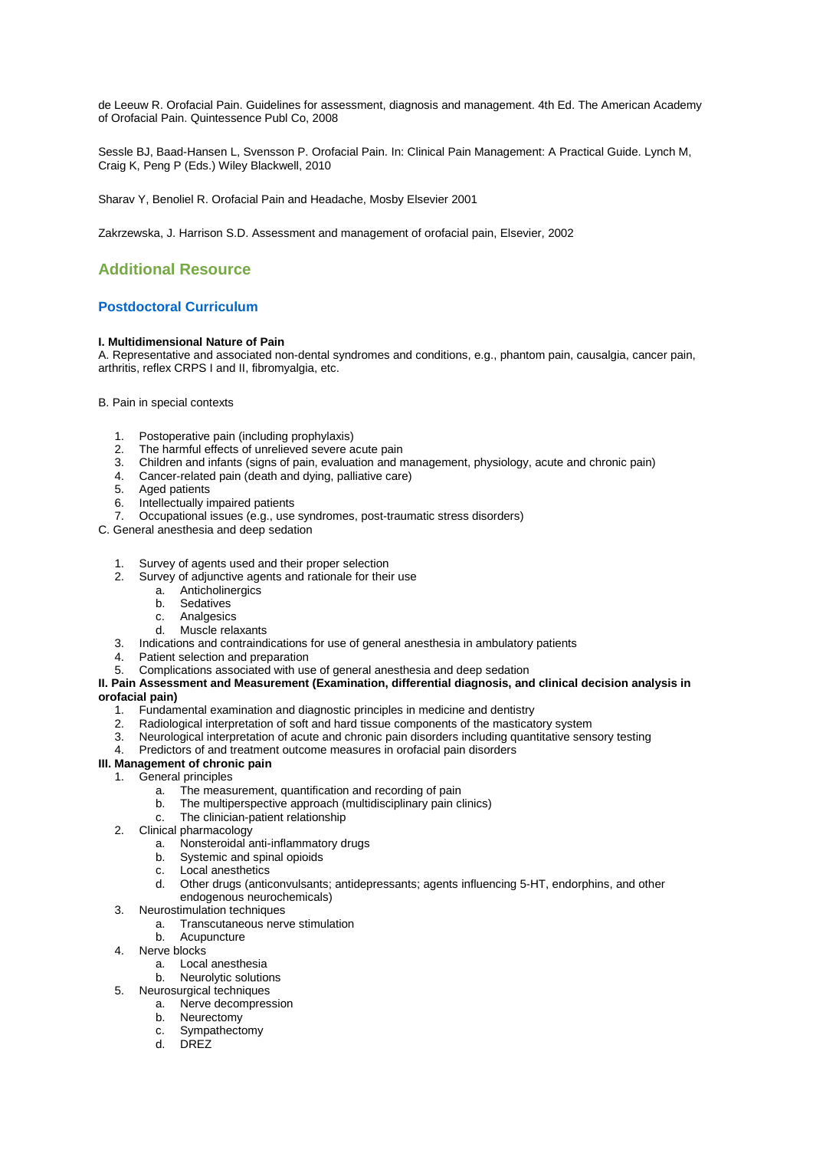de Leeuw R. Orofacial Pain. Guidelines for assessment, diagnosis and management. 4th Ed. The American Academy of Orofacial Pain. Quintessence Publ Co, 2008

Sessle BJ, Baad-Hansen L, Svensson P. Orofacial Pain. In: Clinical Pain Management: A Practical Guide. Lynch M, Craig K, Peng P (Eds.) Wiley Blackwell, 2010

Sharav Y, Benoliel R. Orofacial Pain and Headache, Mosby Elsevier 2001

Zakrzewska, J. Harrison S.D. Assessment and management of orofacial pain, Elsevier, 2002

# **Additional Resource**

### **Postdoctoral Curriculum**

#### **I. Multidimensional Nature of Pain**

A. Representative and associated non-dental syndromes and conditions, e.g., phantom pain, causalgia, cancer pain, arthritis, reflex CRPS I and II, fibromyalgia, etc.

#### B. Pain in special contexts

- Postoperative pain (including prophylaxis)
- 2. The harmful effects of unrelieved severe acute pain
- 3. Children and infants (signs of pain, evaluation and management, physiology, acute and chronic pain)
- Cancer-related pain (death and dying, palliative care)
- 5. Aged patients<br>6. Intellectually in
- Intellectually impaired patients
- 7. Occupational issues (e.g., use syndromes, post-traumatic stress disorders)
- C. General anesthesia and deep sedation
	- 1. Survey of agents used and their proper selection<br>2. Survey of adjunctive agents and rationale for their
	- Survey of adjunctive agents and rationale for their use
		- a. Anticholinergics
		- b. Sedatives<br>c. Analgesics
		- c. Analgesics<br>d Muscle rela
		- Muscle relaxants
	- 3. Indications and contraindications for use of general anesthesia in ambulatory patients<br>4. Patient selection and prenaration
	- Patient selection and preparation
	- 5. Complications associated with use of general anesthesia and deep sedation

#### **II. Pain Assessment and Measurement (Examination, differential diagnosis, and clinical decision analysis in orofacial pain)**

- 1. Fundamental examination and diagnostic principles in medicine and dentistry
- 2. Radiological interpretation of soft and hard tissue components of the masticatory system
- Neurological interpretation of acute and chronic pain disorders including quantitative sensory testing
- 4. Predictors of and treatment outcome measures in orofacial pain disorders

# **III. Management of chronic pain**

- 1. General principles
	- a. The measurement, quantification and recording of pain
	- b. The multiperspective approach (multidisciplinary pain clinics)
	- c. The clinician-patient relationship
- 2. Clinical pharmacology
	- a. Nonsteroidal anti-inflammatory drugs
	- b. Systemic and spinal opioids
	- c. Local anesthetics
	- d. Other drugs (anticonvulsants; antidepressants; agents influencing 5-HT, endorphins, and other endogenous neurochemicals)
- 3. Neurostimulation techniques
	- a. Transcutaneous nerve stimulation
	- b. Acupuncture
- 4. Nerve blocks
	- a. Local anesthesia
	- b. Neurolytic solutions
- 5. Neurosurgical techniques
	- a. Nerve decompression b. Neurectomy
	- c. Sympathectomy
	- d. DREZ